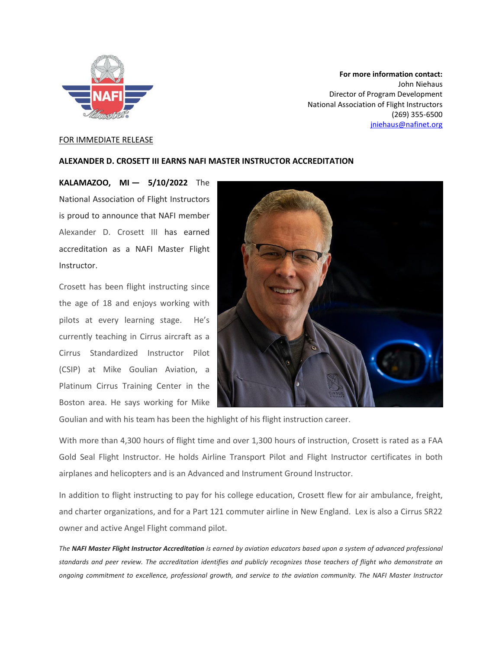

**For more information contact:** John Niehaus Director of Program Development National Association of Flight Instructors (269) 355-6500 [jniehaus@nafinet.org](mailto:jniehaus@nafinet.org)

## FOR IMMEDIATE RELEASE

## **ALEXANDER D. CROSETT III EARNS NAFI MASTER INSTRUCTOR ACCREDITATION**

**KALAMAZOO, MI — 5/10/2022** The National Association of Flight Instructors is proud to announce that NAFI member Alexander D. Crosett III has earned accreditation as a NAFI Master Flight Instructor.

Crosett has been flight instructing since the age of 18 and enjoys working with pilots at every learning stage. He's currently teaching in Cirrus aircraft as a Cirrus Standardized Instructor Pilot (CSIP) at Mike Goulian Aviation, a Platinum Cirrus Training Center in the Boston area. He says working for Mike



Goulian and with his team has been the highlight of his flight instruction career.

With more than 4,300 hours of flight time and over 1,300 hours of instruction, Crosett is rated as a FAA Gold Seal Flight Instructor. He holds Airline Transport Pilot and Flight Instructor certificates in both airplanes and helicopters and is an Advanced and Instrument Ground Instructor.

In addition to flight instructing to pay for his college education, Crosett flew for air ambulance, freight, and charter organizations, and for a Part 121 commuter airline in New England. Lex is also a Cirrus SR22 owner and active Angel Flight command pilot.

*The NAFI Master Flight Instructor Accreditation is earned by aviation educators based upon a system of advanced professional standards and peer review. The accreditation identifies and publicly recognizes those teachers of flight who demonstrate an ongoing commitment to excellence, professional growth, and service to the aviation community. The NAFI Master Instructor*